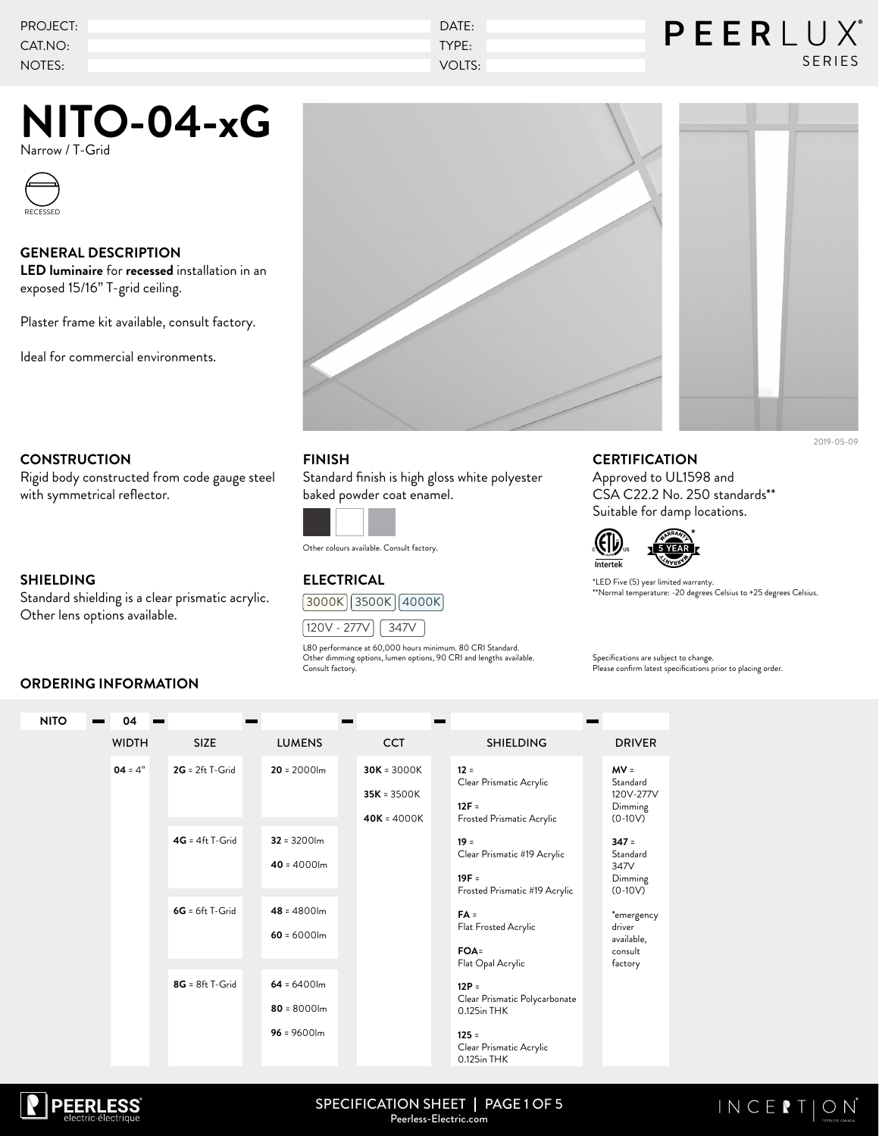| PROJECT: | DATE:  | PEERLUX       |
|----------|--------|---------------|
| CAT.NO:  | TYPE:  |               |
| NOTES:   | VOLTS: | <b>SERIES</b> |

Narrow / T-Grid



### **GENERAL DESCRIPTION**

**LED luminaire** for **recessed** installation in an exposed 15/16" T-grid ceiling.

Plaster frame kit available, consult factory.

Ideal for commercial environments.





Rigid body constructed from code gauge steel with symmetrical reflector.

### **SHIELDING**

Standard shielding is a clear prismatic acrylic. Other lens options available.

**ORDERING INFORMATION**

### **FINISH**

Standard finish is high gloss white polyester baked powder coat enamel.



Other colours available. Consult factory.

# **ELECTRICAL**





L80 performance at 60,000 hours minimum. 80 CRI Standard. Other dimming options, lumen options, 90 CRI and lengths available. Consult factory.

## **CERTIFICATION**

Approved to UL1598 and CSA C22.2 No. 250 standards\*\* Suitable for damp locations.



\*LED Five (5) year limited warranty. \*\*Normal temperature: -20 degrees Celsius to +25 degrees Celsius.

Specifications are subject to change. Please confirm latest specifications prior to placing order.

#### WIDTH SIZE LUMENS CCT SHIELDING DRIVER **NITO 04 2G** = 2ft T-Grid **4G** = 4ft T-Grid **6G** = 6ft T-Grid **8G** = 8ft T-Grid **20** = 2000lm **32** = 3200lm **40** = 4000lm **48** = 4800lm **60** = 6000lm **64** = 6400lm **80** = 8000lm **96** = 9600lm **MV** = Standard 120V-277V Dimming  $(0-10V)$ **347** = **Standard** 347V Dimming  $(0-10V)$ \*emergency driver available, consult factory **30K** = 3000K **35K** = 3500K **40K** = 4000K **12** = Clear Prismatic Acrylic **12F** = Frosted Prismatic Acrylic **19** = Clear Prismatic #19 Acrylic **19F** = Frosted Prismatic #19 Acrylic **FA** = Flat Frosted Acrylic **FOA**= Flat Opal Acrylic **12P** = Clear Prismatic Polycarbonate 0.125in THK **125** = Clear Prismatic Acrylic 0.125in THK  $04 = 4"$



#### SPECIFICATION SHEET | PAGE 1 OF 5 Peerless-Electric.com

# $INCEPION$

2019-05-09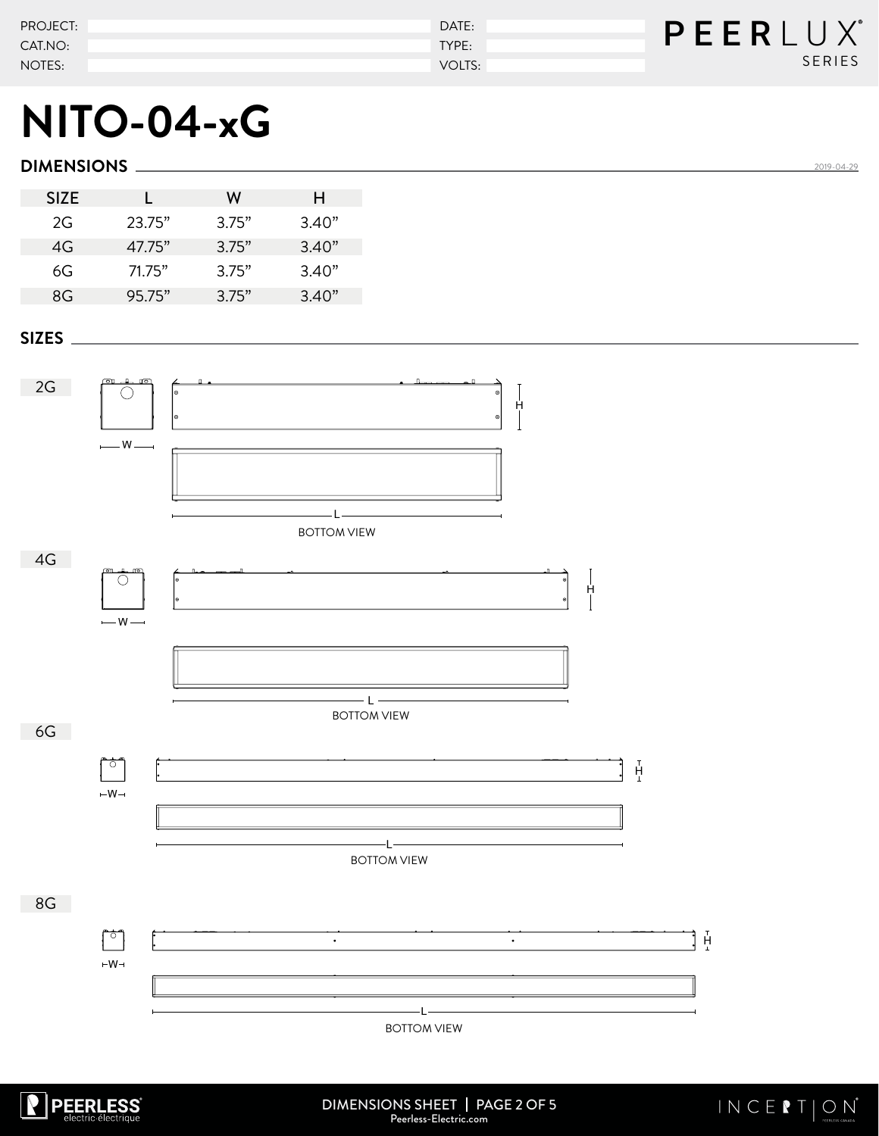| PROJECT: | DATE:  | P E E R L U X |
|----------|--------|---------------|
| CAT.NO:  | TYPE:  |               |
| NOTES:   | VOLTS: | <b>SERIES</b> |

## **DIMENSIONS**

| <b>SIZE</b> |        | w     | н     |
|-------------|--------|-------|-------|
| 2G          | 23.75" | 3.75" | 3.40" |
| 4G          | 47.75" | 3.75" | 3.40" |
| 6G          | 71.75" | 3.75" | 3.40" |
| 8G          | 95.75" | 3.75" | 3.40" |

### **SIZES**





<u>2019-04-29</u>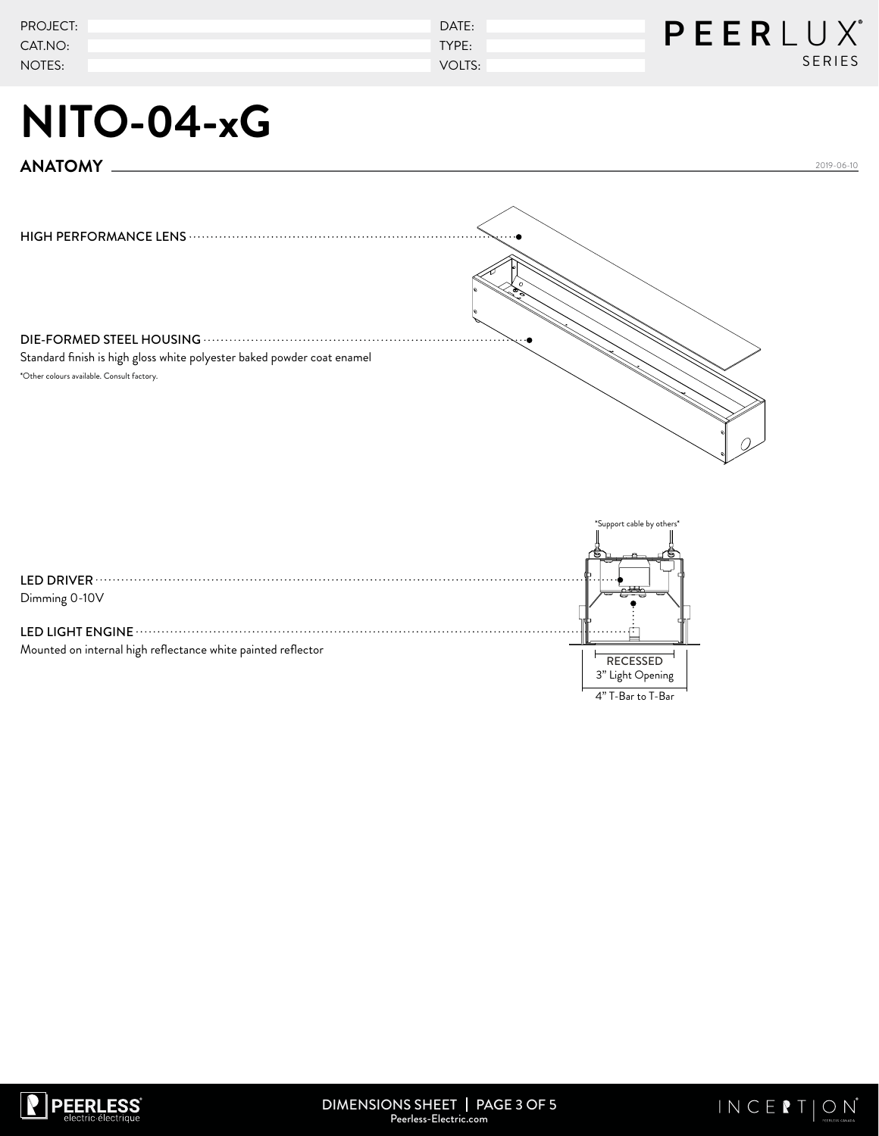| PROJECT: | DATE:  | PEERLUX®      |
|----------|--------|---------------|
| CAT.NO:  | TYPE:  |               |
| NOTES:   | VOLTS: | <b>SERIES</b> |

**ANATOMY**

HIGH PERFORMANCE LENS DIE-FORMED STEEL HOUSING Standard finish is high gloss white polyester baked powder coat enamel \*Other colours available. Consult factory.

LED DRIVER Dimming 0-10V LED LIGHT ENGINE Mounted on internal high reflectance white painted reflector  $\begin{array}{|c|c|c|}\hline & & & \hline \hline \hline \hline \end{array}$ RECESSED 3" Light Opening upport cable by others

4" T-Bar to T-Bar



2019-06-10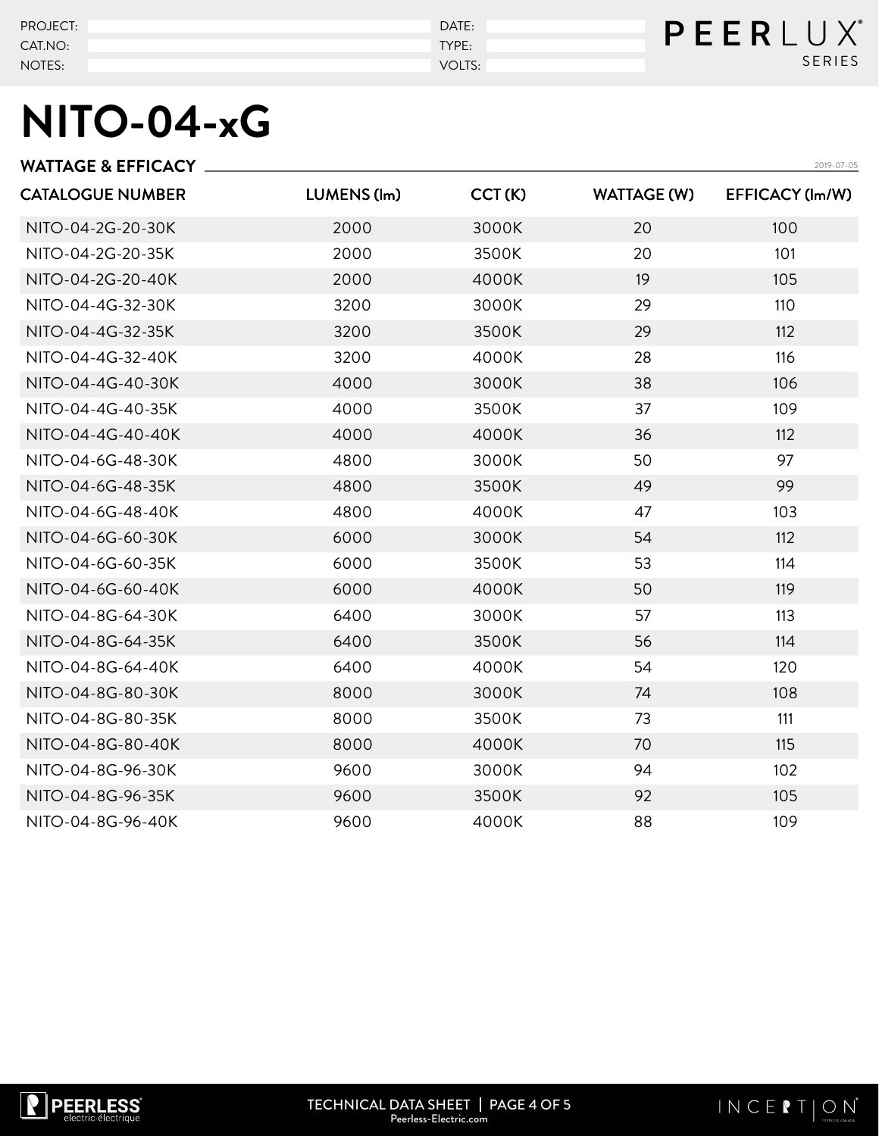| PROJECT: | DATE:  | PEERLUX       |
|----------|--------|---------------|
| CAT.NO:  | TYPE:  |               |
| NOTES:   | VOLTS: | <b>SERIES</b> |

|             |        |                    | 2019-07-05      |
|-------------|--------|--------------------|-----------------|
| LUMENS (lm) | CCT(K) | <b>WATTAGE (W)</b> | EFFICACY (lm/W) |
| 2000        | 3000K  | 20                 | 100             |
| 2000        | 3500K  | 20                 | 101             |
| 2000        | 4000K  | 19                 | 105             |
| 3200        | 3000K  | 29                 | 110             |
| 3200        | 3500K  | 29                 | 112             |
| 3200        | 4000K  | 28                 | 116             |
| 4000        | 3000K  | 38                 | 106             |
| 4000        | 3500K  | 37                 | 109             |
| 4000        | 4000K  | 36                 | 112             |
| 4800        | 3000K  | 50                 | 97              |
| 4800        | 3500K  | 49                 | 99              |
| 4800        | 4000K  | 47                 | 103             |
| 6000        | 3000K  | 54                 | 112             |
| 6000        | 3500K  | 53                 | 114             |
| 6000        | 4000K  | 50                 | 119             |
| 6400        | 3000K  | 57                 | 113             |
| 6400        | 3500K  | 56                 | 114             |
| 6400        | 4000K  | 54                 | 120             |
| 8000        | 3000K  | 74                 | 108             |
| 8000        | 3500K  | 73                 | 111             |
| 8000        | 4000K  | 70                 | 115             |
| 9600        | 3000K  | 94                 | 102             |
| 9600        | 3500K  | 92                 | 105             |
| 9600        | 4000K  | 88                 | 109             |
|             |        |                    |                 |